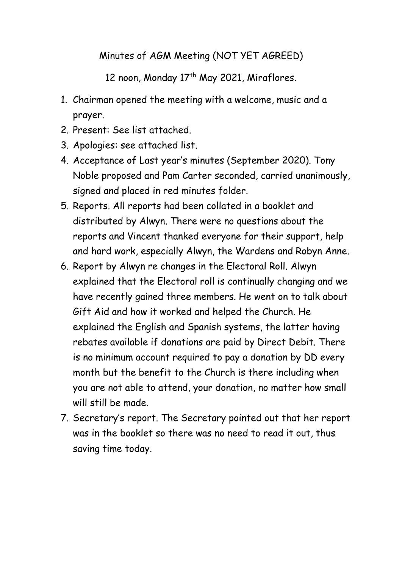## Minutes of AGM Meeting (NOT YET AGREED)

12 noon, Monday 17<sup>th</sup> May 2021, Miraflores.

- 1. Chairman opened the meeting with a welcome, music and a prayer.
- 2. Present: See list attached.
- 3. Apologies: see attached list.
- 4. Acceptance of Last year's minutes (September 2020). Tony Noble proposed and Pam Carter seconded, carried unanimously, signed and placed in red minutes folder.
- 5. Reports. All reports had been collated in a booklet and distributed by Alwyn. There were no questions about the reports and Vincent thanked everyone for their support, help and hard work, especially Alwyn, the Wardens and Robyn Anne.
- 6. Report by Alwyn re changes in the Electoral Roll. Alwyn explained that the Electoral roll is continually changing and we have recently gained three members. He went on to talk about Gift Aid and how it worked and helped the Church. He explained the English and Spanish systems, the latter having rebates available if donations are paid by Direct Debit. There is no minimum account required to pay a donation by DD every month but the benefit to the Church is there including when you are not able to attend, your donation, no matter how small will still be made.
- 7. Secretary's report. The Secretary pointed out that her report was in the booklet so there was no need to read it out, thus saving time today.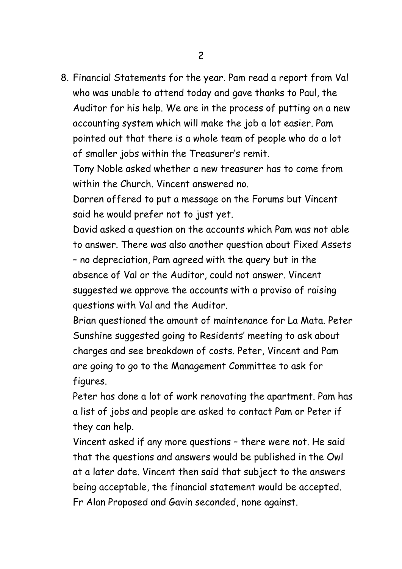8. Financial Statements for the year. Pam read a report from Val who was unable to attend today and gave thanks to Paul, the Auditor for his help. We are in the process of putting on a new accounting system which will make the job a lot easier. Pam pointed out that there is a whole team of people who do a lot of smaller jobs within the Treasurer's remit.

Tony Noble asked whether a new treasurer has to come from within the Church. Vincent answered no.

Darren offered to put a message on the Forums but Vincent said he would prefer not to just yet.

David asked a question on the accounts which Pam was not able to answer. There was also another question about Fixed Assets – no depreciation, Pam agreed with the query but in the absence of Val or the Auditor, could not answer. Vincent suggested we approve the accounts with a proviso of raising questions with Val and the Auditor.

Brian questioned the amount of maintenance for La Mata. Peter Sunshine suggested going to Residents' meeting to ask about charges and see breakdown of costs. Peter, Vincent and Pam are going to go to the Management Committee to ask for figures.

Peter has done a lot of work renovating the apartment. Pam has a list of jobs and people are asked to contact Pam or Peter if they can help.

Vincent asked if any more questions – there were not. He said that the questions and answers would be published in the Owl at a later date. Vincent then said that subject to the answers being acceptable, the financial statement would be accepted. Fr Alan Proposed and Gavin seconded, none against.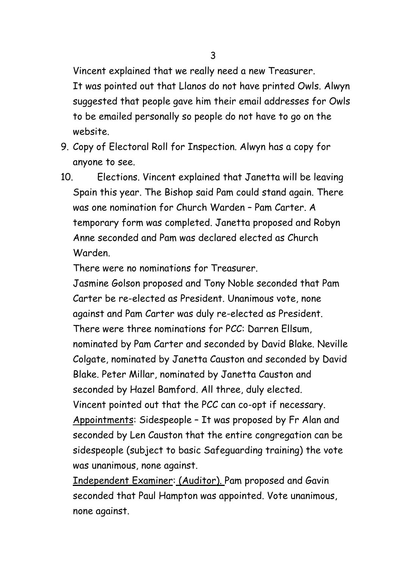Vincent explained that we really need a new Treasurer.

It was pointed out that Llanos do not have printed Owls. Alwyn suggested that people gave him their email addresses for Owls to be emailed personally so people do not have to go on the website.

- 9. Copy of Electoral Roll for Inspection. Alwyn has a copy for anyone to see.
- 10. Elections. Vincent explained that Janetta will be leaving Spain this year. The Bishop said Pam could stand again. There was one nomination for Church Warden – Pam Carter. A temporary form was completed. Janetta proposed and Robyn Anne seconded and Pam was declared elected as Church Warden.

There were no nominations for Treasurer.

Jasmine Golson proposed and Tony Noble seconded that Pam Carter be re-elected as President. Unanimous vote, none against and Pam Carter was duly re-elected as President. There were three nominations for PCC: Darren Ellsum, nominated by Pam Carter and seconded by David Blake. Neville Colgate, nominated by Janetta Causton and seconded by David Blake. Peter Millar, nominated by Janetta Causton and seconded by Hazel Bamford. All three, duly elected. Vincent pointed out that the PCC can co-opt if necessary. Appointments: Sidespeople – It was proposed by Fr Alan and seconded by Len Causton that the entire congregation can be sidespeople (subject to basic Safeguarding training) the vote was unanimous, none against.

Independent Examiner: (Auditor). Pam proposed and Gavin seconded that Paul Hampton was appointed. Vote unanimous, none against.